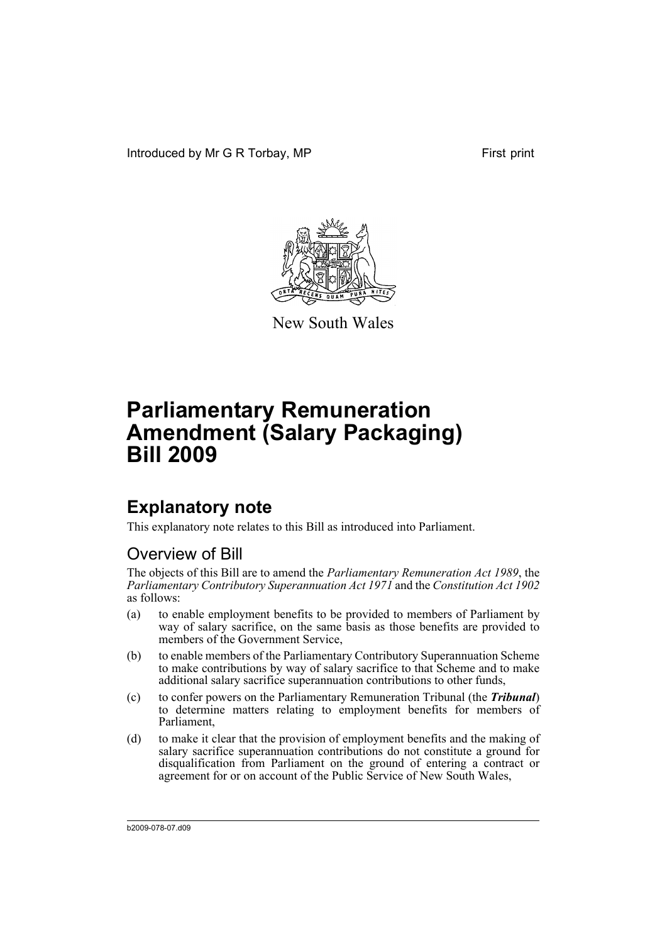Introduced by Mr G R Torbay, MP First print



New South Wales

# **Parliamentary Remuneration Amendment (Salary Packaging) Bill 2009**

## **Explanatory note**

This explanatory note relates to this Bill as introduced into Parliament.

## Overview of Bill

The objects of this Bill are to amend the *Parliamentary Remuneration Act 1989*, the *Parliamentary Contributory Superannuation Act 1971* and the *Constitution Act 1902* as follows:

- (a) to enable employment benefits to be provided to members of Parliament by way of salary sacrifice, on the same basis as those benefits are provided to members of the Government Service,
- (b) to enable members of the Parliamentary Contributory Superannuation Scheme to make contributions by way of salary sacrifice to that Scheme and to make additional salary sacrifice superannuation contributions to other funds,
- (c) to confer powers on the Parliamentary Remuneration Tribunal (the *Tribunal*) to determine matters relating to employment benefits for members of Parliament,
- (d) to make it clear that the provision of employment benefits and the making of salary sacrifice superannuation contributions do not constitute a ground for disqualification from Parliament on the ground of entering a contract or agreement for or on account of the Public Service of New South Wales,

b2009-078-07.d09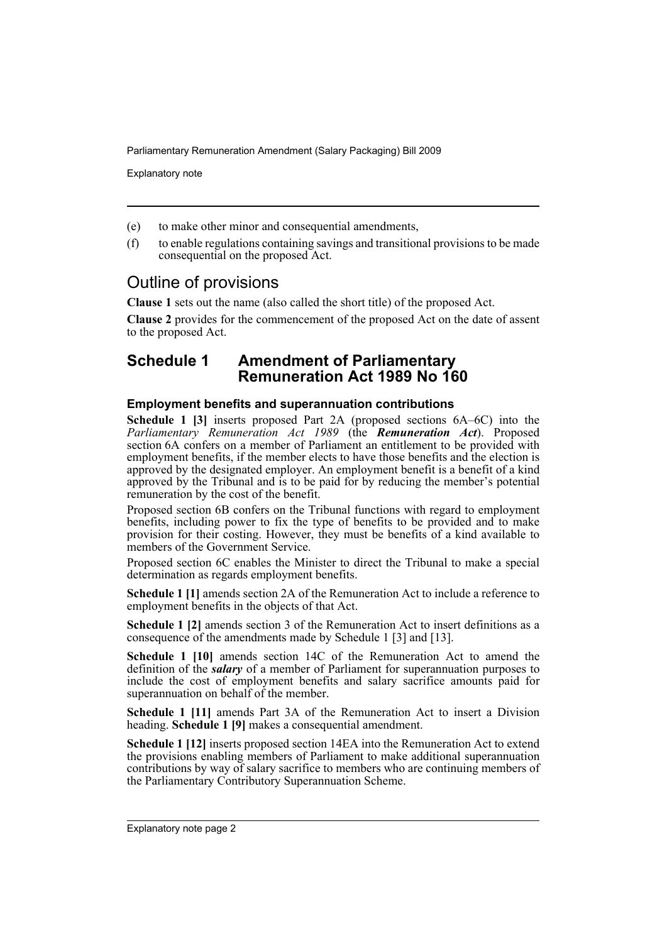Explanatory note

- (e) to make other minor and consequential amendments,
- (f) to enable regulations containing savings and transitional provisions to be made consequential on the proposed Act.

### Outline of provisions

**Clause 1** sets out the name (also called the short title) of the proposed Act.

**Clause 2** provides for the commencement of the proposed Act on the date of assent to the proposed Act.

### **Schedule 1 Amendment of Parliamentary Remuneration Act 1989 No 160**

#### **Employment benefits and superannuation contributions**

**Schedule 1 [3]** inserts proposed Part 2A (proposed sections 6A–6C) into the *Parliamentary Remuneration Act 1989* (the *Remuneration Act*). Proposed section 6A confers on a member of Parliament an entitlement to be provided with employment benefits, if the member elects to have those benefits and the election is approved by the designated employer. An employment benefit is a benefit of a kind approved by the Tribunal and is to be paid for by reducing the member's potential remuneration by the cost of the benefit.

Proposed section 6B confers on the Tribunal functions with regard to employment benefits, including power to fix the type of benefits to be provided and to make provision for their costing. However, they must be benefits of a kind available to members of the Government Service.

Proposed section 6C enables the Minister to direct the Tribunal to make a special determination as regards employment benefits.

**Schedule 1 [1]** amends section 2A of the Remuneration Act to include a reference to employment benefits in the objects of that Act.

**Schedule 1 [2]** amends section 3 of the Remuneration Act to insert definitions as a consequence of the amendments made by Schedule 1 [3] and [13].

**Schedule 1 [10]** amends section 14C of the Remuneration Act to amend the definition of the *salary* of a member of Parliament for superannuation purposes to include the cost of employment benefits and salary sacrifice amounts paid for superannuation on behalf of the member.

**Schedule 1 [11]** amends Part 3A of the Remuneration Act to insert a Division heading. **Schedule 1 [9]** makes a consequential amendment.

**Schedule 1 [12]** inserts proposed section 14EA into the Remuneration Act to extend the provisions enabling members of Parliament to make additional superannuation contributions by way of salary sacrifice to members who are continuing members of the Parliamentary Contributory Superannuation Scheme.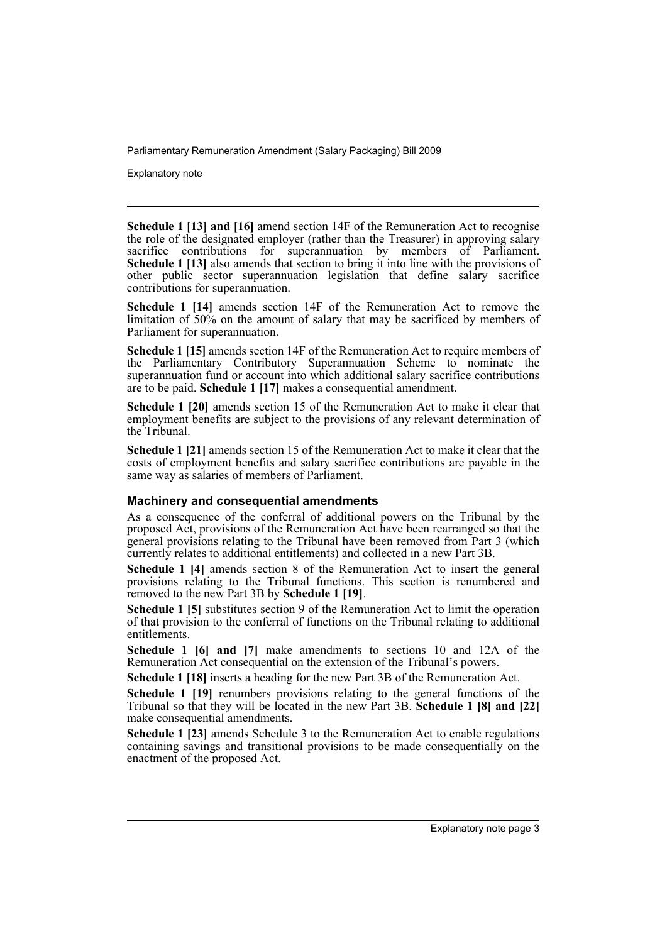Explanatory note

**Schedule 1 [13] and [16]** amend section 14F of the Remuneration Act to recognise the role of the designated employer (rather than the Treasurer) in approving salary sacrifice contributions for superannuation by members of Parliament. **Schedule 1 [13]** also amends that section to bring it into line with the provisions of other public sector superannuation legislation that define salary sacrifice contributions for superannuation.

**Schedule 1 [14]** amends section 14F of the Remuneration Act to remove the limitation of 50% on the amount of salary that may be sacrificed by members of Parliament for superannuation.

**Schedule 1 [15]** amends section 14F of the Remuneration Act to require members of the Parliamentary Contributory Superannuation Scheme to nominate the superannuation fund or account into which additional salary sacrifice contributions are to be paid. **Schedule 1 [17]** makes a consequential amendment.

**Schedule 1 [20]** amends section 15 of the Remuneration Act to make it clear that employment benefits are subject to the provisions of any relevant determination of the Tribunal.

**Schedule 1 [21]** amends section 15 of the Remuneration Act to make it clear that the costs of employment benefits and salary sacrifice contributions are payable in the same way as salaries of members of Parliament.

#### **Machinery and consequential amendments**

As a consequence of the conferral of additional powers on the Tribunal by the proposed Act, provisions of the Remuneration Act have been rearranged so that the general provisions relating to the Tribunal have been removed from Part 3 (which currently relates to additional entitlements) and collected in a new Part 3B.

**Schedule 1 [4]** amends section 8 of the Remuneration Act to insert the general provisions relating to the Tribunal functions. This section is renumbered and removed to the new Part 3B by **Schedule 1 [19]**.

**Schedule 1 [5]** substitutes section 9 of the Remuneration Act to limit the operation of that provision to the conferral of functions on the Tribunal relating to additional entitlements.

**Schedule 1 [6] and [7]** make amendments to sections 10 and 12A of the Remuneration Act consequential on the extension of the Tribunal's powers.

**Schedule 1 [18]** inserts a heading for the new Part 3B of the Remuneration Act.

**Schedule 1 [19]** renumbers provisions relating to the general functions of the Tribunal so that they will be located in the new Part 3B. **Schedule 1 [8] and [22]** make consequential amendments.

**Schedule 1 [23]** amends Schedule 3 to the Remuneration Act to enable regulations containing savings and transitional provisions to be made consequentially on the enactment of the proposed Act.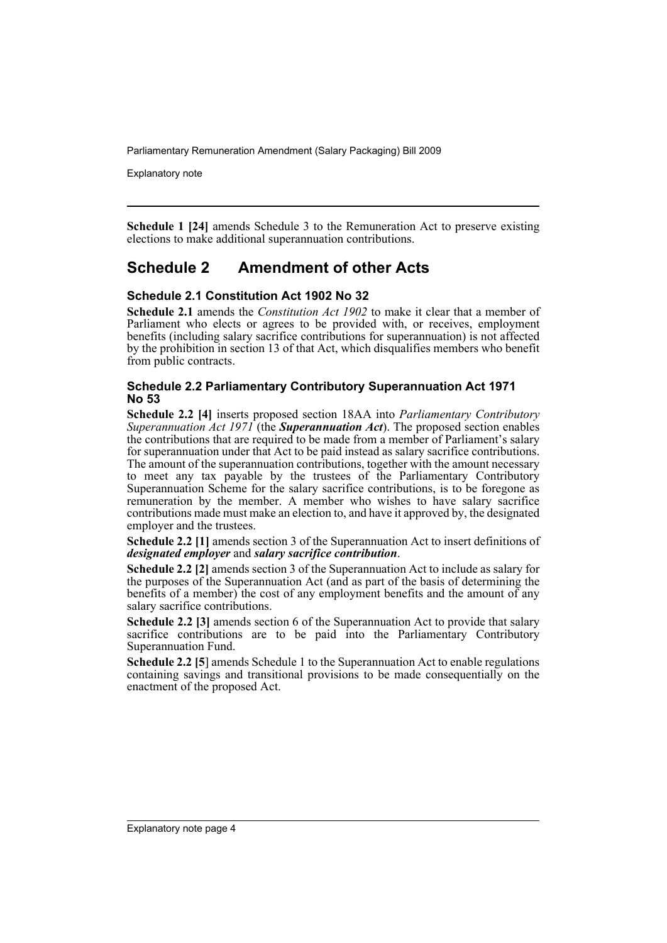Explanatory note

**Schedule 1 [24]** amends Schedule 3 to the Remuneration Act to preserve existing elections to make additional superannuation contributions.

### **Schedule 2 Amendment of other Acts**

#### **Schedule 2.1 Constitution Act 1902 No 32**

**Schedule 2.1** amends the *Constitution Act 1902* to make it clear that a member of Parliament who elects or agrees to be provided with, or receives, employment benefits (including salary sacrifice contributions for superannuation) is not affected by the prohibition in section 13 of that Act, which disqualifies members who benefit from public contracts.

#### **Schedule 2.2 Parliamentary Contributory Superannuation Act 1971 No 53**

**Schedule 2.2 [4]** inserts proposed section 18AA into *Parliamentary Contributory Superannuation Act 1971* (the *Superannuation Act*). The proposed section enables the contributions that are required to be made from a member of Parliament's salary for superannuation under that Act to be paid instead as salary sacrifice contributions. The amount of the superannuation contributions, together with the amount necessary to meet any tax payable by the trustees of the Parliamentary Contributory Superannuation Scheme for the salary sacrifice contributions, is to be foregone as remuneration by the member. A member who wishes to have salary sacrifice contributions made must make an election to, and have it approved by, the designated employer and the trustees.

**Schedule 2.2 [1]** amends section 3 of the Superannuation Act to insert definitions of *designated employer* and *salary sacrifice contribution*.

**Schedule 2.2 [2]** amends section 3 of the Superannuation Act to include as salary for the purposes of the Superannuation Act (and as part of the basis of determining the benefits of a member) the cost of any employment benefits and the amount of any salary sacrifice contributions.

**Schedule 2.2 [3]** amends section 6 of the Superannuation Act to provide that salary sacrifice contributions are to be paid into the Parliamentary Contributory Superannuation Fund.

**Schedule 2.2 [5**] amends Schedule 1 to the Superannuation Act to enable regulations containing savings and transitional provisions to be made consequentially on the enactment of the proposed Act.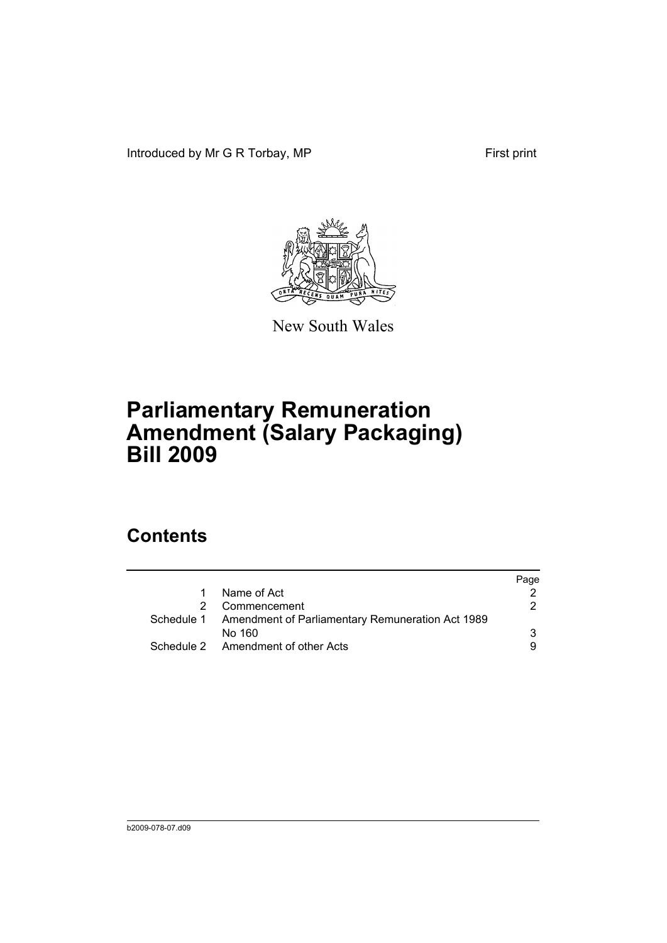Introduced by Mr G R Torbay, MP First print



New South Wales

# **Parliamentary Remuneration Amendment (Salary Packaging) Bill 2009**

## **Contents**

|   |                                                             | Page |
|---|-------------------------------------------------------------|------|
| 1 | Name of Act                                                 |      |
|   | Commencement                                                | 2    |
|   | Schedule 1 Amendment of Parliamentary Remuneration Act 1989 |      |
|   | No 160                                                      | 3    |
|   | Schedule 2 Amendment of other Acts                          | 9    |
|   |                                                             |      |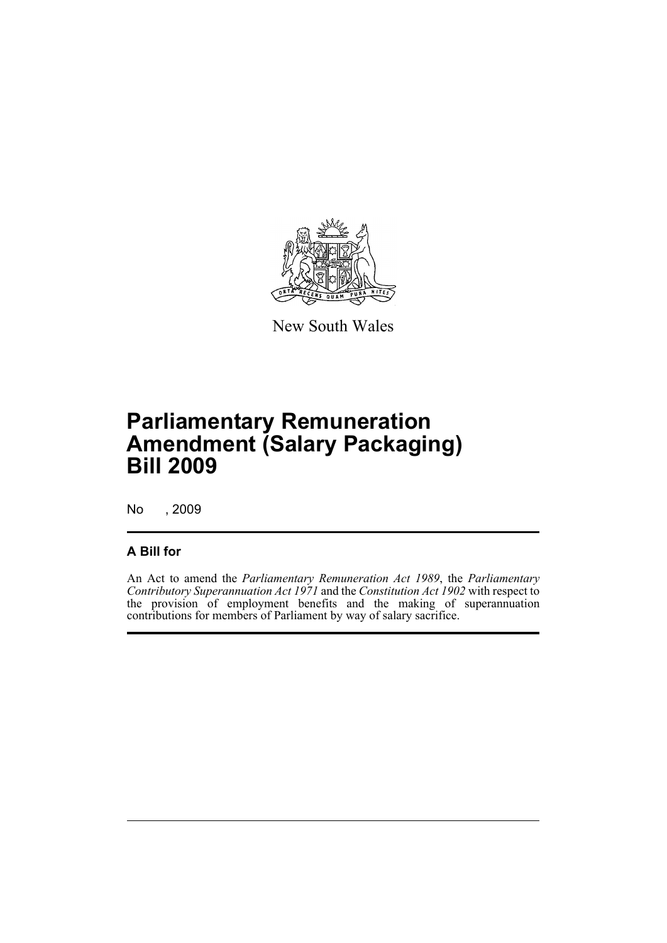

New South Wales

## **Parliamentary Remuneration Amendment (Salary Packaging) Bill 2009**

No , 2009

### **A Bill for**

An Act to amend the *Parliamentary Remuneration Act 1989*, the *Parliamentary Contributory Superannuation Act 1971* and the *Constitution Act 1902* with respect to the provision of employment benefits and the making of superannuation contributions for members of Parliament by way of salary sacrifice.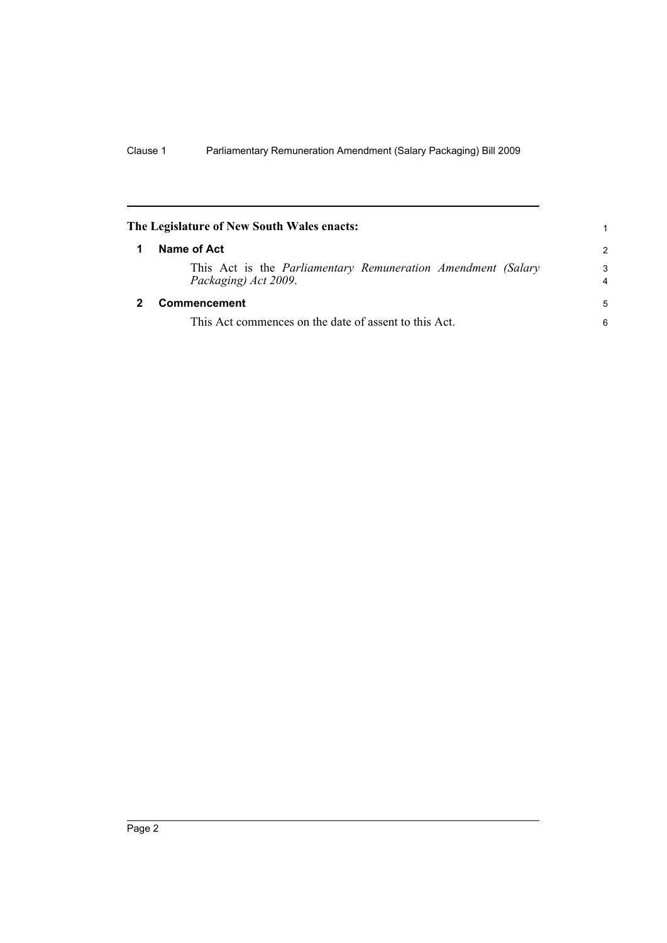<span id="page-7-1"></span><span id="page-7-0"></span>

| The Legislature of New South Wales enacts: |                                                                                             |                     |  |
|--------------------------------------------|---------------------------------------------------------------------------------------------|---------------------|--|
|                                            | Name of Act                                                                                 | $\mathcal{P}$       |  |
|                                            | This Act is the <i>Parliamentary Remuneration Amendment (Salary</i><br>Packaging) Act 2009. | 3<br>$\overline{4}$ |  |
|                                            | Commencement                                                                                | 5                   |  |
|                                            | This Act commences on the date of assent to this Act.                                       | 6                   |  |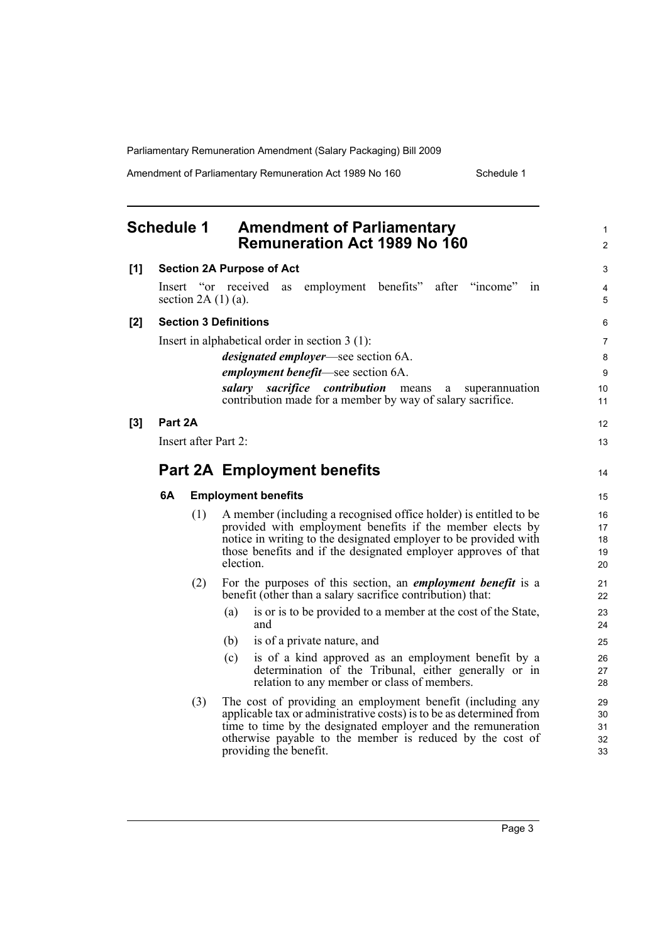Amendment of Parliamentary Remuneration Act 1989 No 160 Schedule 1

<span id="page-8-0"></span>

|                                  | <b>Schedule 1</b> |                          | <b>Amendment of Parliamentary</b><br>Remuneration Act 1989 No 160                                                                                                                                                                                                                        | $\mathbf{1}$<br>$\overline{2}$ |
|----------------------------------|-------------------|--------------------------|------------------------------------------------------------------------------------------------------------------------------------------------------------------------------------------------------------------------------------------------------------------------------------------|--------------------------------|
| [1]                              |                   |                          | <b>Section 2A Purpose of Act</b>                                                                                                                                                                                                                                                         | 3                              |
|                                  |                   | section 2A $(1)$ $(a)$ . | after "income"<br>Insert "or received<br>employment benefits"<br>as<br>1n                                                                                                                                                                                                                | 4<br>5                         |
| [2]                              |                   |                          | <b>Section 3 Definitions</b>                                                                                                                                                                                                                                                             | 6                              |
|                                  |                   |                          | Insert in alphabetical order in section $3(1)$ :                                                                                                                                                                                                                                         | $\overline{7}$                 |
|                                  |                   |                          | <i>designated employer</i> —see section 6A.                                                                                                                                                                                                                                              | 8                              |
|                                  |                   |                          | <i>employment benefit—see section 6A.</i>                                                                                                                                                                                                                                                | 9                              |
|                                  |                   |                          | salary sacrifice contribution<br>means<br>superannuation<br>a<br>contribution made for a member by way of salary sacrifice.                                                                                                                                                              | 10<br>11                       |
| [3]                              | Part 2A           |                          |                                                                                                                                                                                                                                                                                          | 12                             |
|                                  |                   | Insert after Part 2:     |                                                                                                                                                                                                                                                                                          | 13                             |
|                                  |                   |                          | <b>Part 2A Employment benefits</b>                                                                                                                                                                                                                                                       | 14                             |
| 6A<br><b>Employment benefits</b> |                   |                          | 15                                                                                                                                                                                                                                                                                       |                                |
|                                  |                   | (1)                      | A member (including a recognised office holder) is entitled to be<br>provided with employment benefits if the member elects by<br>notice in writing to the designated employer to be provided with<br>those benefits and if the designated employer approves of that<br>election.        | 16<br>17<br>18<br>19<br>20     |
|                                  |                   | (2)                      | For the purposes of this section, an <i>employment benefit</i> is a<br>benefit (other than a salary sacrifice contribution) that:                                                                                                                                                        | 21<br>22                       |
|                                  |                   |                          | (a)<br>is or is to be provided to a member at the cost of the State,<br>and                                                                                                                                                                                                              | 23<br>24                       |
|                                  |                   |                          | is of a private nature, and<br>(b)                                                                                                                                                                                                                                                       | 25                             |
|                                  |                   |                          | is of a kind approved as an employment benefit by a<br>(c)<br>determination of the Tribunal, either generally or in<br>relation to any member or class of members.                                                                                                                       | 26<br>27<br>28                 |
|                                  |                   | (3)                      | The cost of providing an employment benefit (including any<br>applicable tax or administrative costs) is to be as determined from<br>time to time by the designated employer and the remuneration<br>otherwise payable to the member is reduced by the cost of<br>providing the benefit. | 29<br>30<br>31<br>32<br>33     |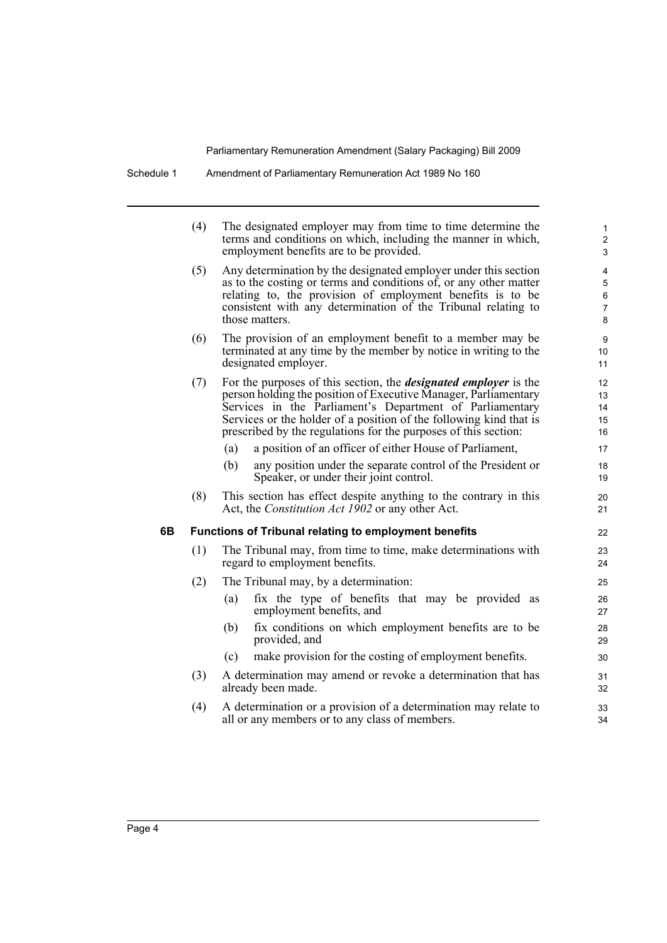|    | (4) |            | The designated employer may from time to time determine the<br>terms and conditions on which, including the manner in which,<br>employment benefits are to be provided.                                                                                                                                                                         | 1<br>$\overline{\mathbf{c}}$<br>3 |
|----|-----|------------|-------------------------------------------------------------------------------------------------------------------------------------------------------------------------------------------------------------------------------------------------------------------------------------------------------------------------------------------------|-----------------------------------|
|    | (5) |            | Any determination by the designated employer under this section<br>as to the costing or terms and conditions of, or any other matter<br>relating to, the provision of employment benefits is to be<br>consistent with any determination of the Tribunal relating to<br>those matters.                                                           | 4<br>5<br>6<br>7<br>8             |
|    | (6) |            | The provision of an employment benefit to a member may be<br>terminated at any time by the member by notice in writing to the<br>designated employer.                                                                                                                                                                                           | 9<br>10<br>11                     |
|    | (7) |            | For the purposes of this section, the <i>designated employer</i> is the<br>person holding the position of Executive Manager, Parliamentary<br>Services in the Parliament's Department of Parliamentary<br>Services or the holder of a position of the following kind that is<br>prescribed by the regulations for the purposes of this section: | 12<br>13<br>14<br>15<br>16        |
|    |     | (a)<br>(b) | a position of an officer of either House of Parliament,<br>any position under the separate control of the President or<br>Speaker, or under their joint control.                                                                                                                                                                                | 17<br>18<br>19                    |
|    | (8) |            | This section has effect despite anything to the contrary in this<br>Act, the <i>Constitution Act 1902</i> or any other Act.                                                                                                                                                                                                                     | 20<br>21                          |
| 6B |     |            | <b>Functions of Tribunal relating to employment benefits</b>                                                                                                                                                                                                                                                                                    | 22                                |
|    | (1) |            | The Tribunal may, from time to time, make determinations with<br>regard to employment benefits.                                                                                                                                                                                                                                                 | 23<br>24                          |
|    | (2) |            | The Tribunal may, by a determination:                                                                                                                                                                                                                                                                                                           | 25                                |
|    |     | (a)        | fix the type of benefits that may be provided as<br>employment benefits, and                                                                                                                                                                                                                                                                    | 26<br>27                          |
|    |     | (b)        | fix conditions on which employment benefits are to be<br>provided, and                                                                                                                                                                                                                                                                          | 28<br>29                          |
|    |     | (c)        | make provision for the costing of employment benefits.                                                                                                                                                                                                                                                                                          | 30                                |
|    | (3) |            | A determination may amend or revoke a determination that has<br>already been made.                                                                                                                                                                                                                                                              | 31<br>32                          |
|    | (4) |            | A determination or a provision of a determination may relate to<br>all or any members or to any class of members.                                                                                                                                                                                                                               | 33<br>34                          |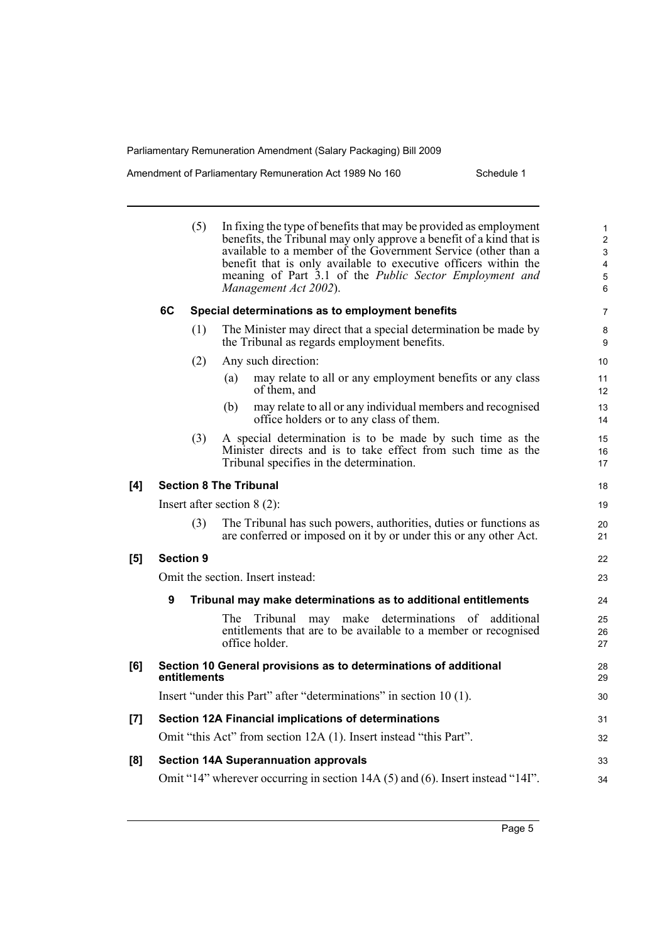Amendment of Parliamentary Remuneration Act 1989 No 160 Schedule 1

|     | (5)                           | In fixing the type of benefits that may be provided as employment<br>benefits, the Tribunal may only approve a benefit of a kind that is<br>available to a member of the Government Service (other than a<br>benefit that is only available to executive officers within the<br>meaning of Part 3.1 of the <i>Public Sector Employment and</i><br>Management Act 2002). | $\mathbf{1}$<br>$\overline{c}$<br>3<br>4<br>5<br>6 |
|-----|-------------------------------|-------------------------------------------------------------------------------------------------------------------------------------------------------------------------------------------------------------------------------------------------------------------------------------------------------------------------------------------------------------------------|----------------------------------------------------|
|     | 6C                            | Special determinations as to employment benefits                                                                                                                                                                                                                                                                                                                        | 7                                                  |
|     | (1)                           | The Minister may direct that a special determination be made by<br>the Tribunal as regards employment benefits.                                                                                                                                                                                                                                                         | 8<br>9                                             |
|     | (2)                           | Any such direction:                                                                                                                                                                                                                                                                                                                                                     | 10                                                 |
|     |                               | may relate to all or any employment benefits or any class<br>(a)<br>of them, and                                                                                                                                                                                                                                                                                        | 11<br>12                                           |
|     |                               | may relate to all or any individual members and recognised<br>(b)<br>office holders or to any class of them.                                                                                                                                                                                                                                                            | 13<br>14                                           |
|     | (3)                           | A special determination is to be made by such time as the<br>Minister directs and is to take effect from such time as the<br>Tribunal specifies in the determination.                                                                                                                                                                                                   | 15<br>16<br>17                                     |
| [4] |                               | <b>Section 8 The Tribunal</b>                                                                                                                                                                                                                                                                                                                                           | 18                                                 |
|     | Insert after section $8(2)$ : |                                                                                                                                                                                                                                                                                                                                                                         |                                                    |
|     | (3)                           | The Tribunal has such powers, authorities, duties or functions as<br>are conferred or imposed on it by or under this or any other Act.                                                                                                                                                                                                                                  | 20<br>21                                           |
| [5] | <b>Section 9</b>              |                                                                                                                                                                                                                                                                                                                                                                         | 22                                                 |
|     |                               | Omit the section. Insert instead:                                                                                                                                                                                                                                                                                                                                       | 23                                                 |
|     | 9                             | Tribunal may make determinations as to additional entitlements                                                                                                                                                                                                                                                                                                          | 24                                                 |
|     |                               | may make determinations of additional<br>The<br>Tribunal<br>entitlements that are to be available to a member or recognised<br>office holder.                                                                                                                                                                                                                           | 25<br>26<br>27                                     |
| [6] | entitlements                  | Section 10 General provisions as to determinations of additional                                                                                                                                                                                                                                                                                                        | 28<br>29                                           |
|     |                               | Insert "under this Part" after "determinations" in section 10 (1).                                                                                                                                                                                                                                                                                                      | 30                                                 |
| [7] |                               | Section 12A Financial implications of determinations                                                                                                                                                                                                                                                                                                                    | 31                                                 |
|     |                               | Omit "this Act" from section 12A (1). Insert instead "this Part".                                                                                                                                                                                                                                                                                                       | 32                                                 |
| [8] |                               | <b>Section 14A Superannuation approvals</b>                                                                                                                                                                                                                                                                                                                             | 33                                                 |
|     |                               | Omit "14" wherever occurring in section 14A (5) and (6). Insert instead "14I".                                                                                                                                                                                                                                                                                          | 34                                                 |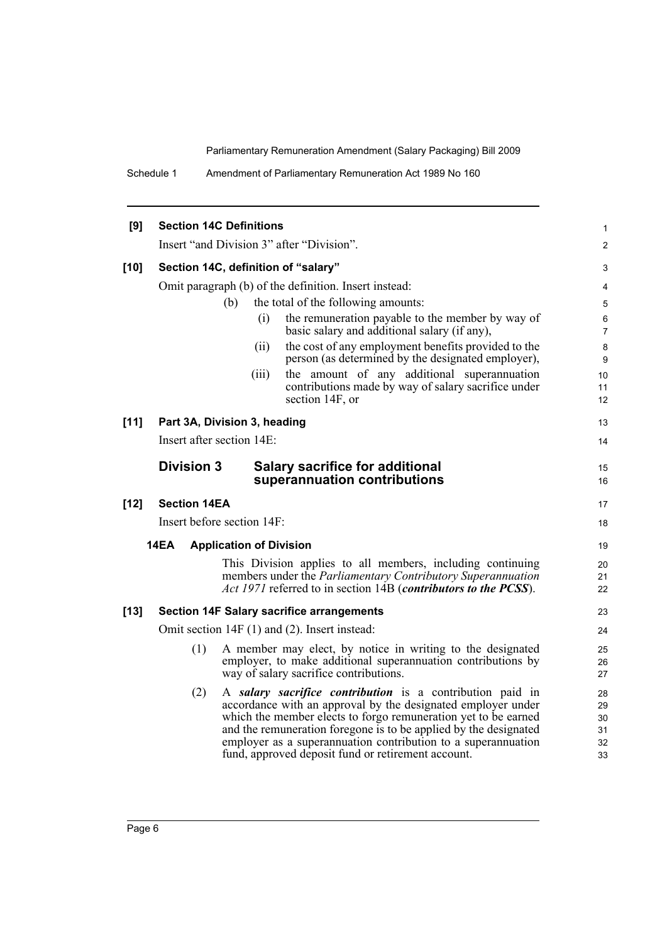Schedule 1 Amendment of Parliamentary Remuneration Act 1989 No 160

| [9]    |                                     | <b>Section 14C Definitions</b> |                                                                                                                                                                                                                                                                                                                                                                                        | 1                                |  |  |
|--------|-------------------------------------|--------------------------------|----------------------------------------------------------------------------------------------------------------------------------------------------------------------------------------------------------------------------------------------------------------------------------------------------------------------------------------------------------------------------------------|----------------------------------|--|--|
|        |                                     |                                | Insert "and Division 3" after "Division".                                                                                                                                                                                                                                                                                                                                              | 2                                |  |  |
| $[10]$ | Section 14C, definition of "salary" |                                |                                                                                                                                                                                                                                                                                                                                                                                        |                                  |  |  |
|        |                                     |                                | Omit paragraph (b) of the definition. Insert instead:                                                                                                                                                                                                                                                                                                                                  | 4                                |  |  |
|        |                                     | (b)                            | the total of the following amounts:                                                                                                                                                                                                                                                                                                                                                    | 5                                |  |  |
|        |                                     | (i)                            | the remuneration payable to the member by way of<br>basic salary and additional salary (if any),                                                                                                                                                                                                                                                                                       | 6<br>7                           |  |  |
|        |                                     | (ii)                           | the cost of any employment benefits provided to the<br>person (as determined by the designated employer),                                                                                                                                                                                                                                                                              | 8<br>9                           |  |  |
|        |                                     | (iii)                          | the amount of any additional superannuation<br>contributions made by way of salary sacrifice under<br>section 14F, or                                                                                                                                                                                                                                                                  | 10<br>11<br>12                   |  |  |
| $[11]$ |                                     | Part 3A, Division 3, heading   |                                                                                                                                                                                                                                                                                                                                                                                        | 13                               |  |  |
|        |                                     | Insert after section 14E:      |                                                                                                                                                                                                                                                                                                                                                                                        | 14                               |  |  |
|        | <b>Division 3</b>                   |                                | <b>Salary sacrifice for additional</b><br>superannuation contributions                                                                                                                                                                                                                                                                                                                 | 15<br>16                         |  |  |
| $[12]$ | <b>Section 14EA</b>                 |                                |                                                                                                                                                                                                                                                                                                                                                                                        | 17                               |  |  |
|        |                                     | Insert before section 14F:     |                                                                                                                                                                                                                                                                                                                                                                                        | 18                               |  |  |
|        | 14EA                                | <b>Application of Division</b> |                                                                                                                                                                                                                                                                                                                                                                                        | 19                               |  |  |
|        |                                     |                                | This Division applies to all members, including continuing<br>members under the <i>Parliamentary Contributory Superannuation</i><br><i>Act 1971</i> referred to in section 14B ( <i>contributors to the PCSS</i> ).                                                                                                                                                                    | 20<br>21<br>22                   |  |  |
| $[13]$ |                                     |                                | <b>Section 14F Salary sacrifice arrangements</b>                                                                                                                                                                                                                                                                                                                                       | 23                               |  |  |
|        |                                     |                                | Omit section 14F (1) and (2). Insert instead:                                                                                                                                                                                                                                                                                                                                          | 24                               |  |  |
|        | (1)                                 |                                | A member may elect, by notice in writing to the designated<br>employer, to make additional superannuation contributions by<br>way of salary sacrifice contributions.                                                                                                                                                                                                                   | 25<br>26<br>27                   |  |  |
|        | (2)                                 |                                | A salary sacrifice contribution is a contribution paid in<br>accordance with an approval by the designated employer under<br>which the member elects to forgo remuneration yet to be earned<br>and the remuneration foregone is to be applied by the designated<br>employer as a superannuation contribution to a superannuation<br>fund, approved deposit fund or retirement account. | 28<br>29<br>30<br>31<br>32<br>33 |  |  |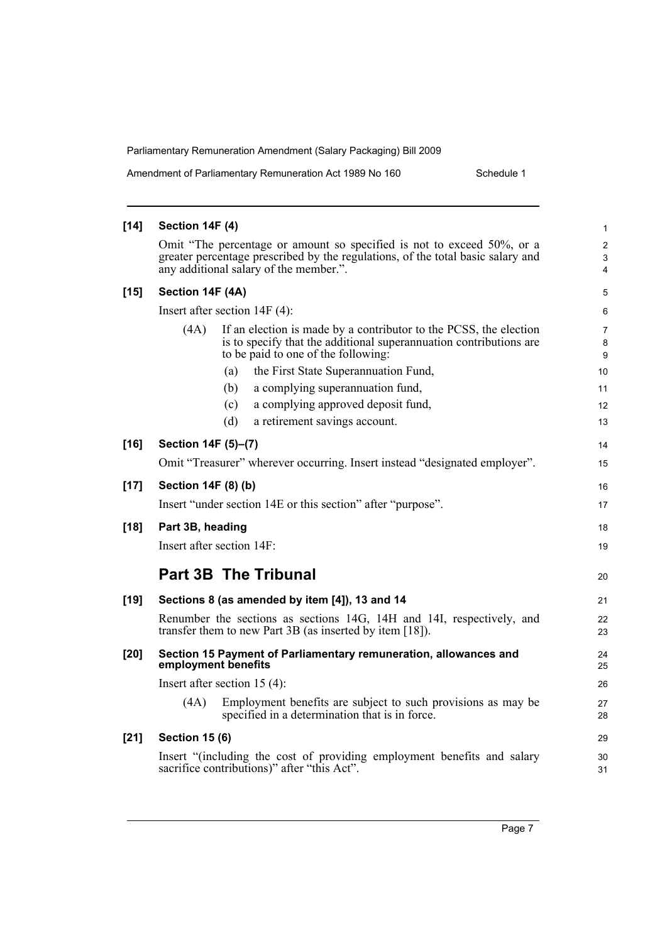Amendment of Parliamentary Remuneration Act 1989 No 160 Schedule 1

| $[14]$ | Section 14F (4)                                                                                                                                                                                     | 1                        |  |  |  |  |
|--------|-----------------------------------------------------------------------------------------------------------------------------------------------------------------------------------------------------|--------------------------|--|--|--|--|
|        | Omit "The percentage or amount so specified is not to exceed 50%, or a<br>greater percentage prescribed by the regulations, of the total basic salary and<br>any additional salary of the member.". | $\overline{2}$<br>3<br>4 |  |  |  |  |
| $[15]$ | Section 14F (4A)                                                                                                                                                                                    |                          |  |  |  |  |
|        | Insert after section $14F(4)$ :                                                                                                                                                                     | 6                        |  |  |  |  |
|        | (4A)<br>If an election is made by a contributor to the PCSS, the election<br>is to specify that the additional superannuation contributions are<br>to be paid to one of the following:              | $\overline{7}$<br>8<br>9 |  |  |  |  |
|        | the First State Superannuation Fund,<br>(a)                                                                                                                                                         | 10                       |  |  |  |  |
|        | a complying superannuation fund,<br>(b)                                                                                                                                                             | 11                       |  |  |  |  |
|        | (c)<br>a complying approved deposit fund,                                                                                                                                                           | 12                       |  |  |  |  |
|        | (d)<br>a retirement savings account.                                                                                                                                                                | 13                       |  |  |  |  |
| $[16]$ | Section 14F (5)-(7)                                                                                                                                                                                 | 14                       |  |  |  |  |
|        | Omit "Treasurer" wherever occurring. Insert instead "designated employer".                                                                                                                          | 15                       |  |  |  |  |
| $[17]$ | Section 14F (8) (b)                                                                                                                                                                                 | 16                       |  |  |  |  |
|        | Insert "under section 14E or this section" after "purpose".                                                                                                                                         | 17                       |  |  |  |  |
| $[18]$ | Part 3B, heading                                                                                                                                                                                    | 18                       |  |  |  |  |
|        | Insert after section 14F:                                                                                                                                                                           | 19                       |  |  |  |  |
|        | <b>Part 3B The Tribunal</b>                                                                                                                                                                         |                          |  |  |  |  |
|        |                                                                                                                                                                                                     | 20                       |  |  |  |  |
| $[19]$ | Sections 8 (as amended by item [4]), 13 and 14                                                                                                                                                      | 21                       |  |  |  |  |
|        | Renumber the sections as sections 14G, 14H and 14I, respectively, and<br>transfer them to new Part 3B (as inserted by item [18]).                                                                   | 22<br>23                 |  |  |  |  |
| $[20]$ | Section 15 Payment of Parliamentary remuneration, allowances and<br>employment benefits                                                                                                             | 24<br>25                 |  |  |  |  |
|        | Insert after section $15(4)$ :                                                                                                                                                                      | 26                       |  |  |  |  |
|        | Employment benefits are subject to such provisions as may be<br>(4A)<br>specified in a determination that is in force.                                                                              | 27<br>28                 |  |  |  |  |
| $[21]$ | <b>Section 15 (6)</b>                                                                                                                                                                               | 29                       |  |  |  |  |
|        | Insert "(including the cost of providing employment benefits and salary<br>sacrifice contributions)" after "this Act".                                                                              | 30<br>31                 |  |  |  |  |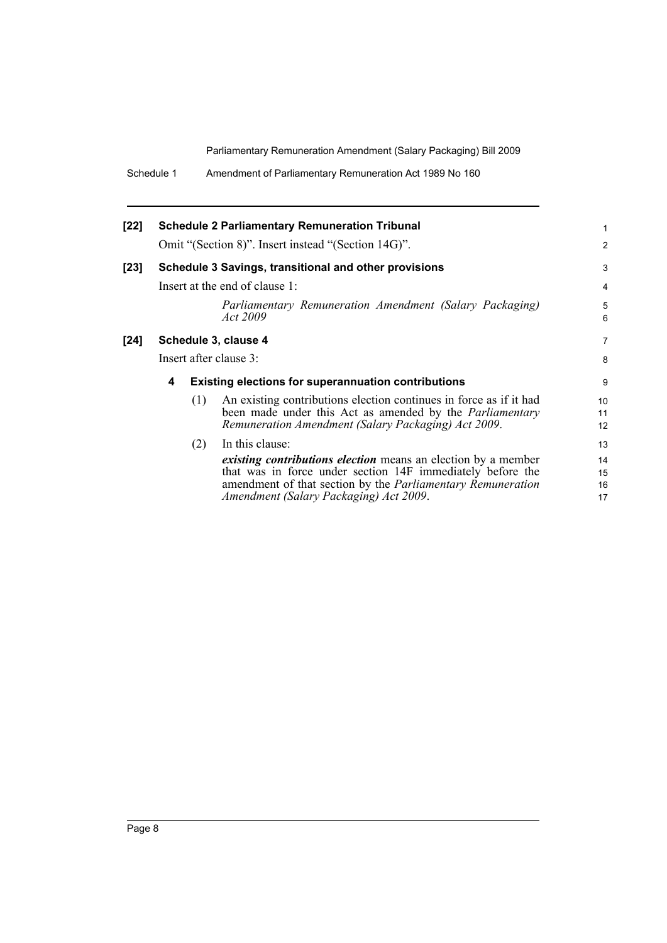| Schedule 1 | Amendment of Parliamentary Remuneration Act 1989 No 160 |
|------------|---------------------------------------------------------|
|            |                                                         |

| $[22]$ |                        |     | <b>Schedule 2 Parliamentary Remuneration Tribunal</b><br>Omit "(Section 8)". Insert instead "(Section 14G)".                                                                                                                                | 1<br>$\overline{2}$  |  |
|--------|------------------------|-----|---------------------------------------------------------------------------------------------------------------------------------------------------------------------------------------------------------------------------------------------|----------------------|--|
| $[23]$ |                        |     | Schedule 3 Savings, transitional and other provisions                                                                                                                                                                                       | 3                    |  |
|        |                        |     | Insert at the end of clause 1:                                                                                                                                                                                                              | 4                    |  |
|        |                        |     | Parliamentary Remuneration Amendment (Salary Packaging)<br>Act 2009                                                                                                                                                                         | 5<br>6               |  |
| $[24]$ | Schedule 3, clause 4   |     |                                                                                                                                                                                                                                             |                      |  |
|        | Insert after clause 3: |     |                                                                                                                                                                                                                                             |                      |  |
|        | 4                      |     | <b>Existing elections for superannuation contributions</b>                                                                                                                                                                                  | 9                    |  |
|        |                        | (1) | An existing contributions election continues in force as if it had<br>been made under this Act as amended by the <i>Parliamentary</i><br>Remuneration Amendment (Salary Packaging) Act 2009.                                                | 10<br>11<br>12       |  |
|        |                        | (2) | In this clause:                                                                                                                                                                                                                             | 13                   |  |
|        |                        |     | existing contributions election means an election by a member<br>that was in force under section 14F immediately before the<br>amendment of that section by the <i>Parliamentary Remuneration</i><br>Amendment (Salary Packaging) Act 2009. | 14<br>15<br>16<br>17 |  |
|        |                        |     |                                                                                                                                                                                                                                             |                      |  |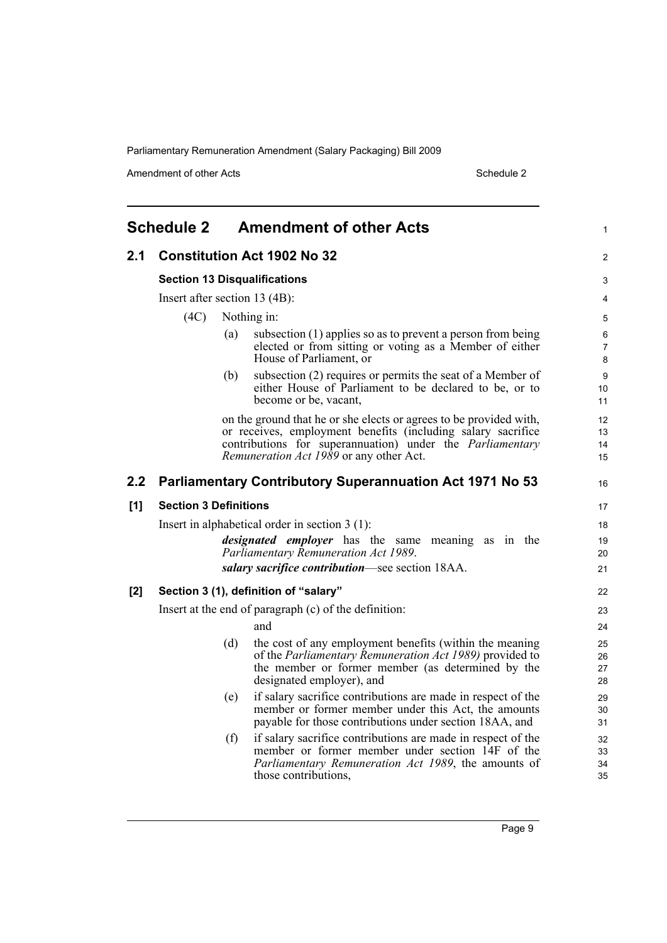Amendment of other Acts Schedule 2

<span id="page-14-0"></span>

|     | <b>Schedule 2</b>                                                                                 |     | <b>Amendment of other Acts</b>                                                                                                                                                                                                                    | 1                          |
|-----|---------------------------------------------------------------------------------------------------|-----|---------------------------------------------------------------------------------------------------------------------------------------------------------------------------------------------------------------------------------------------------|----------------------------|
| 2.1 |                                                                                                   |     | <b>Constitution Act 1902 No 32</b>                                                                                                                                                                                                                | 2                          |
|     |                                                                                                   |     | <b>Section 13 Disqualifications</b>                                                                                                                                                                                                               | 3                          |
|     | Insert after section 13 (4B):                                                                     |     |                                                                                                                                                                                                                                                   | 4                          |
|     | (4C)                                                                                              |     | Nothing in:                                                                                                                                                                                                                                       | 5                          |
|     |                                                                                                   | (a) | subsection (1) applies so as to prevent a person from being<br>elected or from sitting or voting as a Member of either<br>House of Parliament, or                                                                                                 | 6<br>$\overline{7}$<br>8   |
|     |                                                                                                   | (b) | subsection (2) requires or permits the seat of a Member of<br>either House of Parliament to be declared to be, or to<br>become or be, vacant,                                                                                                     | 9<br>10 <sup>°</sup><br>11 |
|     |                                                                                                   |     | on the ground that he or she elects or agrees to be provided with,<br>or receives, employment benefits (including salary sacrifice<br>contributions for superannuation) under the <i>Parliamentary</i><br>Remuneration Act 1989 or any other Act. | 12<br>13<br>14<br>15       |
| 2.2 |                                                                                                   |     | <b>Parliamentary Contributory Superannuation Act 1971 No 53</b>                                                                                                                                                                                   | 16                         |
| [1] | <b>Section 3 Definitions</b>                                                                      |     |                                                                                                                                                                                                                                                   | 17                         |
|     |                                                                                                   |     | Insert in alphabetical order in section $3(1)$ :                                                                                                                                                                                                  | 18                         |
|     | <i>designated employer</i> has the same meaning as in the<br>Parliamentary Remuneration Act 1989. |     |                                                                                                                                                                                                                                                   |                            |
|     |                                                                                                   |     | salary sacrifice contribution—see section 18AA.                                                                                                                                                                                                   | 21                         |
| [2] |                                                                                                   |     | Section 3 (1), definition of "salary"                                                                                                                                                                                                             | 22                         |
|     |                                                                                                   |     | Insert at the end of paragraph (c) of the definition:                                                                                                                                                                                             | 23                         |
|     |                                                                                                   |     | and                                                                                                                                                                                                                                               | 24                         |
|     |                                                                                                   | (d) | the cost of any employment benefits (within the meaning<br>of the Parliamentary Remuneration Act 1989) provided to<br>the member or former member (as determined by the<br>designated employer), and                                              | 25<br>26<br>27<br>28       |
|     |                                                                                                   | (e) | if salary sacrifice contributions are made in respect of the<br>member or former member under this Act, the amounts<br>payable for those contributions under section 18AA, and                                                                    | 29<br>30<br>31             |
|     |                                                                                                   | (f) | if salary sacrifice contributions are made in respect of the<br>member or former member under section 14F of the<br><i>Parliamentary Remuneration Act 1989</i> , the amounts of<br>those contributions,                                           | 32<br>33<br>34<br>35       |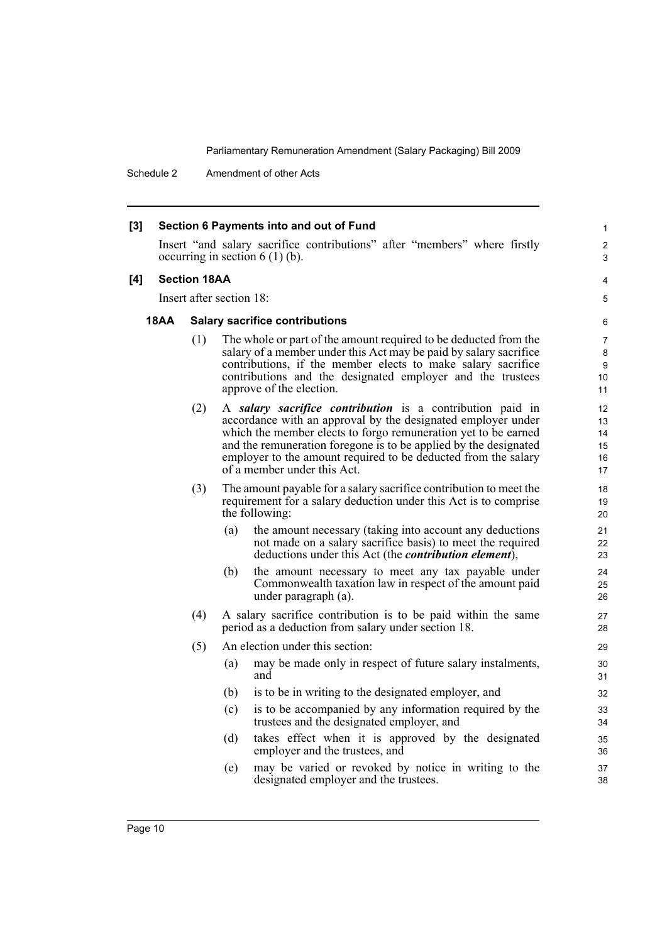Schedule 2 Amendment of other Acts

| $[3]$ | Section 6 Payments into and out of Fund |     |                                                                                                                                                                                                                                                                                                                                                                  |                                                   |  |
|-------|-----------------------------------------|-----|------------------------------------------------------------------------------------------------------------------------------------------------------------------------------------------------------------------------------------------------------------------------------------------------------------------------------------------------------------------|---------------------------------------------------|--|
|       |                                         |     | Insert "and salary sacrifice contributions" after "members" where firstly<br>occurring in section $6(1)(b)$ .                                                                                                                                                                                                                                                    | $\overline{\mathbf{c}}$<br>3                      |  |
| [4]   | <b>Section 18AA</b>                     |     |                                                                                                                                                                                                                                                                                                                                                                  |                                                   |  |
|       |                                         |     | Insert after section 18:                                                                                                                                                                                                                                                                                                                                         | 5                                                 |  |
|       | 18AA                                    |     | <b>Salary sacrifice contributions</b>                                                                                                                                                                                                                                                                                                                            | 6                                                 |  |
|       |                                         | (1) | The whole or part of the amount required to be deducted from the<br>salary of a member under this Act may be paid by salary sacrifice<br>contributions, if the member elects to make salary sacrifice<br>contributions and the designated employer and the trustees<br>approve of the election.                                                                  | $\overline{7}$<br>8<br>9<br>10 <sup>°</sup><br>11 |  |
|       |                                         | (2) | A salary sacrifice contribution is a contribution paid in<br>accordance with an approval by the designated employer under<br>which the member elects to forgo remuneration yet to be earned<br>and the remuneration foregone is to be applied by the designated<br>employer to the amount required to be deducted from the salary<br>of a member under this Act. | 12<br>13<br>14<br>15<br>16<br>17                  |  |
|       |                                         | (3) | The amount payable for a salary sacrifice contribution to meet the<br>requirement for a salary deduction under this Act is to comprise<br>the following:                                                                                                                                                                                                         | 18<br>19<br>20                                    |  |
|       |                                         |     | the amount necessary (taking into account any deductions<br>(a)<br>not made on a salary sacrifice basis) to meet the required<br>deductions under this Act (the <i>contribution element</i> ),                                                                                                                                                                   | 21<br>22<br>23                                    |  |
|       |                                         |     | (b)<br>the amount necessary to meet any tax payable under<br>Commonwealth taxation law in respect of the amount paid<br>under paragraph (a).                                                                                                                                                                                                                     | 24<br>25<br>26                                    |  |
|       |                                         | (4) | A salary sacrifice contribution is to be paid within the same<br>period as a deduction from salary under section 18.                                                                                                                                                                                                                                             | 27<br>28                                          |  |
|       |                                         | (5) | An election under this section:                                                                                                                                                                                                                                                                                                                                  | 29                                                |  |
|       |                                         |     | may be made only in respect of future salary instalments,<br>(a)<br>and                                                                                                                                                                                                                                                                                          | 30<br>31                                          |  |
|       |                                         |     | is to be in writing to the designated employer, and<br>(b)                                                                                                                                                                                                                                                                                                       | 32                                                |  |
|       |                                         |     | (c)<br>is to be accompanied by any information required by the<br>trustees and the designated employer, and                                                                                                                                                                                                                                                      | 33<br>34                                          |  |
|       |                                         |     | (d)<br>takes effect when it is approved by the designated<br>employer and the trustees, and                                                                                                                                                                                                                                                                      | 35<br>36                                          |  |
|       |                                         |     | may be varied or revoked by notice in writing to the<br>(e)<br>designated employer and the trustees.                                                                                                                                                                                                                                                             | 37<br>38                                          |  |